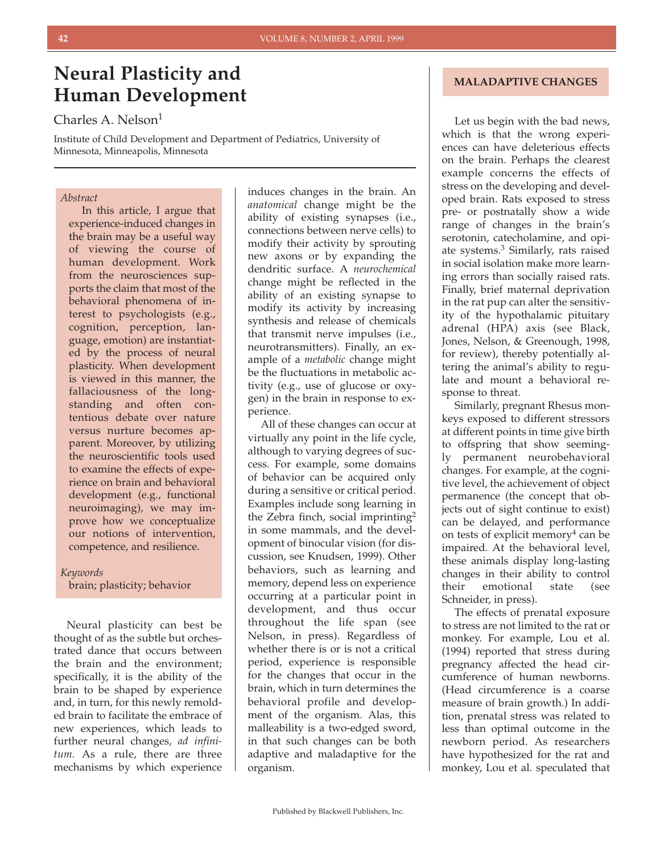# **Neural Plasticity and Human Development**

Charles A. Nelson<sup>1</sup>

Institute of Child Development and Department of Pediatrics, University of Minnesota, Minneapolis, Minnesota

## *Abstract*

In this article, I argue that experience-induced changes in the brain may be a useful way of viewing the course of human development. Work from the neurosciences supports the claim that most of the behavioral phenomena of interest to psychologists (e.g., cognition, perception, language, emotion) are instantiated by the process of neural plasticity. When development is viewed in this manner, the fallaciousness of the longstanding and often contentious debate over nature versus nurture becomes apparent. Moreover, by utilizing the neuroscientific tools used to examine the effects of experience on brain and behavioral development (e.g., functional neuroimaging), we may improve how we conceptualize our notions of intervention, competence, and resilience.

# *Keywords* brain; plasticity; behavior

Neural plasticity can best be thought of as the subtle but orchestrated dance that occurs between the brain and the environment; specifically, it is the ability of the brain to be shaped by experience and, in turn, for this newly remolded brain to facilitate the embrace of new experiences, which leads to further neural changes, *ad infinitum.* As a rule, there are three mechanisms by which experience

induces changes in the brain. An *anatomical* change might be the ability of existing synapses (i.e., connections between nerve cells) to modify their activity by sprouting new axons or by expanding the dendritic surface. A *neurochemical* change might be reflected in the ability of an existing synapse to modify its activity by increasing synthesis and release of chemicals that transmit nerve impulses (i.e., neurotransmitters). Finally, an example of a *metabolic* change might be the fluctuations in metabolic activity (e.g., use of glucose or oxygen) in the brain in response to experience.

All of these changes can occur at virtually any point in the life cycle, although to varying degrees of success. For example, some domains of behavior can be acquired only during a sensitive or critical period. Examples include song learning in the Zebra finch, social imprinting<sup>2</sup> in some mammals, and the development of binocular vision (for discussion, see Knudsen, 1999). Other behaviors, such as learning and memory, depend less on experience occurring at a particular point in development, and thus occur throughout the life span (see Nelson, in press). Regardless of whether there is or is not a critical period, experience is responsible for the changes that occur in the brain, which in turn determines the behavioral profile and development of the organism. Alas, this malleability is a two-edged sword, in that such changes can be both adaptive and maladaptive for the organism.

# **MALADAPTIVE CHANGES**

Let us begin with the bad news, which is that the wrong experiences can have deleterious effects on the brain. Perhaps the clearest example concerns the effects of stress on the developing and developed brain. Rats exposed to stress pre- or postnatally show a wide range of changes in the brain's serotonin, catecholamine, and opiate systems.3 Similarly, rats raised in social isolation make more learning errors than socially raised rats. Finally, brief maternal deprivation in the rat pup can alter the sensitivity of the hypothalamic pituitary adrenal (HPA) axis (see Black, Jones, Nelson, & Greenough, 1998, for review), thereby potentially altering the animal's ability to regulate and mount a behavioral response to threat.

Similarly, pregnant Rhesus monkeys exposed to different stressors at different points in time give birth to offspring that show seemingly permanent neurobehavioral changes. For example, at the cognitive level, the achievement of object permanence (the concept that objects out of sight continue to exist) can be delayed, and performance on tests of explicit memory<sup>4</sup> can be impaired. At the behavioral level, these animals display long-lasting changes in their ability to control their emotional state (see Schneider, in press).

The effects of prenatal exposure to stress are not limited to the rat or monkey. For example, Lou et al. (1994) reported that stress during pregnancy affected the head circumference of human newborns. (Head circumference is a coarse measure of brain growth.) In addition, prenatal stress was related to less than optimal outcome in the newborn period. As researchers have hypothesized for the rat and monkey, Lou et al. speculated that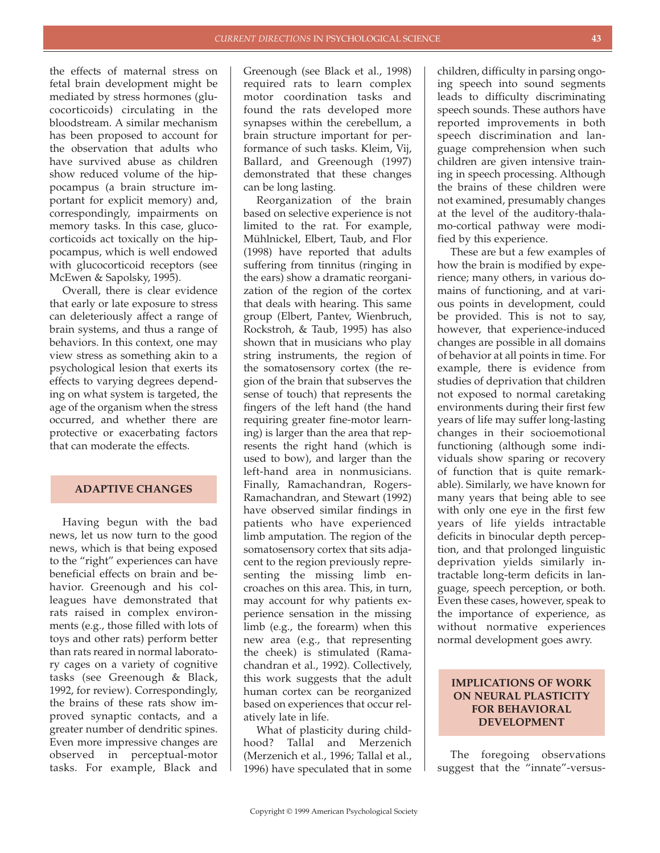the effects of maternal stress on fetal brain development might be mediated by stress hormones (glucocorticoids) circulating in the bloodstream. A similar mechanism has been proposed to account for the observation that adults who have survived abuse as children show reduced volume of the hippocampus (a brain structure important for explicit memory) and, correspondingly, impairments on memory tasks. In this case, glucocorticoids act toxically on the hippocampus, which is well endowed with glucocorticoid receptors (see McEwen & Sapolsky, 1995).

Overall, there is clear evidence that early or late exposure to stress can deleteriously affect a range of brain systems, and thus a range of behaviors. In this context, one may view stress as something akin to a psychological lesion that exerts its effects to varying degrees depending on what system is targeted, the age of the organism when the stress occurred, and whether there are protective or exacerbating factors that can moderate the effects.

### **ADAPTIVE CHANGES**

Having begun with the bad news, let us now turn to the good news, which is that being exposed to the "right" experiences can have beneficial effects on brain and behavior. Greenough and his colleagues have demonstrated that rats raised in complex environments (e.g., those filled with lots of toys and other rats) perform better than rats reared in normal laboratory cages on a variety of cognitive tasks (see Greenough & Black, 1992, for review). Correspondingly, the brains of these rats show improved synaptic contacts, and a greater number of dendritic spines. Even more impressive changes are observed in perceptual-motor tasks. For example, Black and

Greenough (see Black et al., 1998) required rats to learn complex motor coordination tasks and found the rats developed more synapses within the cerebellum, a brain structure important for performance of such tasks. Kleim, Vij, Ballard, and Greenough (1997) demonstrated that these changes can be long lasting.

Reorganization of the brain based on selective experience is not limited to the rat. For example, Mühlnickel, Elbert, Taub, and Flor (1998) have reported that adults suffering from tinnitus (ringing in the ears) show a dramatic reorganization of the region of the cortex that deals with hearing. This same group (Elbert, Pantev, Wienbruch, Rockstroh, & Taub, 1995) has also shown that in musicians who play string instruments, the region of the somatosensory cortex (the region of the brain that subserves the sense of touch) that represents the fingers of the left hand (the hand requiring greater fine-motor learning) is larger than the area that represents the right hand (which is used to bow), and larger than the left-hand area in nonmusicians. Finally, Ramachandran, Rogers-Ramachandran, and Stewart (1992) have observed similar findings in patients who have experienced limb amputation. The region of the somatosensory cortex that sits adjacent to the region previously representing the missing limb encroaches on this area. This, in turn, may account for why patients experience sensation in the missing limb (e.g., the forearm) when this new area (e.g., that representing the cheek) is stimulated (Ramachandran et al., 1992). Collectively, this work suggests that the adult human cortex can be reorganized based on experiences that occur relatively late in life.

What of plasticity during childhood? Tallal and Merzenich (Merzenich et al., 1996; Tallal et al., 1996) have speculated that in some children, difficulty in parsing ongoing speech into sound segments leads to difficulty discriminating speech sounds. These authors have reported improvements in both speech discrimination and language comprehension when such children are given intensive training in speech processing. Although the brains of these children were not examined, presumably changes at the level of the auditory-thalamo-cortical pathway were modified by this experience.

These are but a few examples of how the brain is modified by experience; many others, in various domains of functioning, and at various points in development, could be provided. This is not to say, however, that experience-induced changes are possible in all domains of behavior at all points in time. For example, there is evidence from studies of deprivation that children not exposed to normal caretaking environments during their first few years of life may suffer long-lasting changes in their socioemotional functioning (although some individuals show sparing or recovery of function that is quite remarkable). Similarly, we have known for many years that being able to see with only one eye in the first few years of life yields intractable deficits in binocular depth perception, and that prolonged linguistic deprivation yields similarly intractable long-term deficits in language, speech perception, or both. Even these cases, however, speak to the importance of experience, as without normative experiences normal development goes awry.

# **IMPLICATIONS OF WORK ON NEURAL PLASTICITY FOR BEHAVIORAL DEVELOPMENT**

The foregoing observations suggest that the "innate"-versus-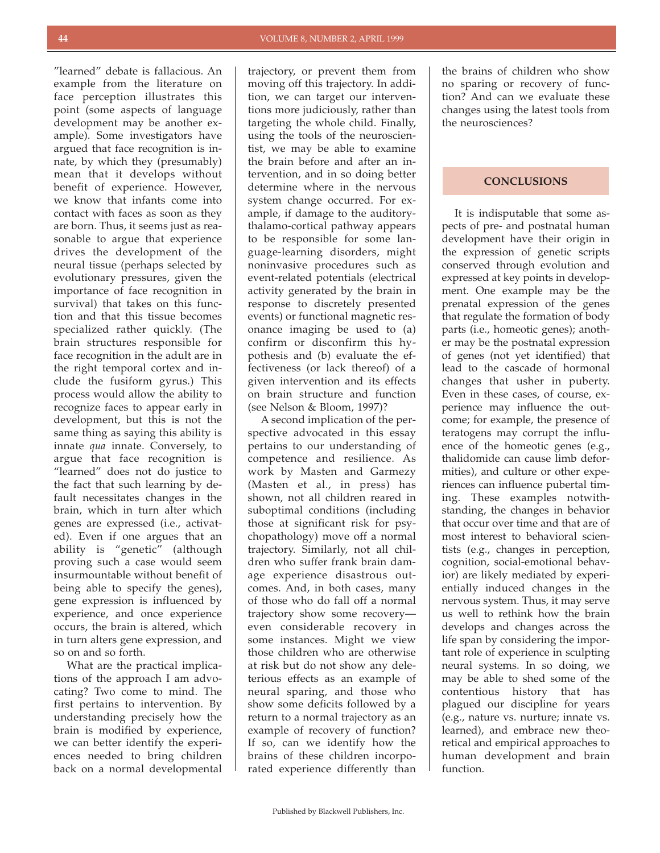"learned" debate is fallacious. An example from the literature on face perception illustrates this point (some aspects of language development may be another example). Some investigators have argued that face recognition is innate, by which they (presumably) mean that it develops without benefit of experience. However, we know that infants come into contact with faces as soon as they are born. Thus, it seems just as reasonable to argue that experience drives the development of the neural tissue (perhaps selected by evolutionary pressures, given the importance of face recognition in survival) that takes on this function and that this tissue becomes specialized rather quickly. (The brain structures responsible for face recognition in the adult are in the right temporal cortex and include the fusiform gyrus.) This process would allow the ability to recognize faces to appear early in development, but this is not the same thing as saying this ability is innate *qua* innate. Conversely, to argue that face recognition is "learned" does not do justice to the fact that such learning by default necessitates changes in the brain, which in turn alter which genes are expressed (i.e., activated). Even if one argues that an ability is "genetic" (although proving such a case would seem insurmountable without benefit of being able to specify the genes), gene expression is influenced by experience, and once experience occurs, the brain is altered, which in turn alters gene expression, and so on and so forth.

What are the practical implications of the approach I am advocating? Two come to mind. The first pertains to intervention. By understanding precisely how the brain is modified by experience, we can better identify the experiences needed to bring children back on a normal developmental

trajectory, or prevent them from moving off this trajectory. In addition, we can target our interventions more judiciously, rather than targeting the whole child. Finally, using the tools of the neuroscientist, we may be able to examine the brain before and after an intervention, and in so doing better determine where in the nervous system change occurred. For example, if damage to the auditorythalamo-cortical pathway appears to be responsible for some language-learning disorders, might noninvasive procedures such as event-related potentials (electrical activity generated by the brain in response to discretely presented events) or functional magnetic resonance imaging be used to (a) confirm or disconfirm this hypothesis and (b) evaluate the effectiveness (or lack thereof) of a given intervention and its effects on brain structure and function (see Nelson & Bloom, 1997)?

A second implication of the perspective advocated in this essay pertains to our understanding of competence and resilience. As work by Masten and Garmezy (Masten et al., in press) has shown, not all children reared in suboptimal conditions (including those at significant risk for psychopathology) move off a normal trajectory. Similarly, not all children who suffer frank brain damage experience disastrous outcomes. And, in both cases, many of those who do fall off a normal trajectory show some recovery even considerable recovery in some instances. Might we view those children who are otherwise at risk but do not show any deleterious effects as an example of neural sparing, and those who show some deficits followed by a return to a normal trajectory as an example of recovery of function? If so, can we identify how the brains of these children incorporated experience differently than

the brains of children who show no sparing or recovery of function? And can we evaluate these changes using the latest tools from the neurosciences?

# **CONCLUSIONS**

It is indisputable that some aspects of pre- and postnatal human development have their origin in the expression of genetic scripts conserved through evolution and expressed at key points in development. One example may be the prenatal expression of the genes that regulate the formation of body parts (i.e., homeotic genes); another may be the postnatal expression of genes (not yet identified) that lead to the cascade of hormonal changes that usher in puberty. Even in these cases, of course, experience may influence the outcome; for example, the presence of teratogens may corrupt the influence of the homeotic genes (e.g., thalidomide can cause limb deformities), and culture or other experiences can influence pubertal timing. These examples notwithstanding, the changes in behavior that occur over time and that are of most interest to behavioral scientists (e.g., changes in perception, cognition, social-emotional behavior) are likely mediated by experientially induced changes in the nervous system. Thus, it may serve us well to rethink how the brain develops and changes across the life span by considering the important role of experience in sculpting neural systems. In so doing, we may be able to shed some of the contentious history that has plagued our discipline for years (e.g., nature vs. nurture; innate vs. learned), and embrace new theoretical and empirical approaches to human development and brain function.